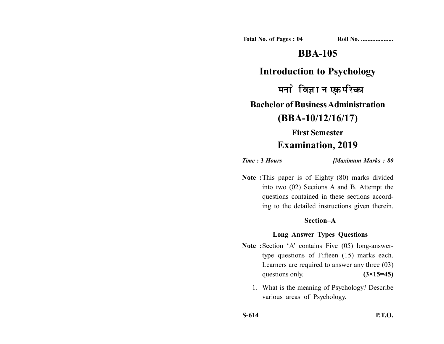**Total No. of Pages : 04 Roll No. ...................** 

## **BBA-105**

### **Introduction to Psychology**

मनोविज्ञान एक परिचय **Bachelor of Business Administration (BBA-10/12/16/17) First Semester**

# **Examination, 2019**

*Time :* **3** *Hours [Maximum Marks : 80*

**Note :**This paper is of Eighty (80) marks divided into two (02) Sections A and B. Attempt the questions contained in these sections according to the detailed instructions given therein.

#### **Section–A**

### **Long Answer Types Questions**

- Note : Section 'A' contains Five (05) long-answertype questions of Fifteen (15) marks each. Learners are required to answer any three (03) questions only. **(3×15=45)** 
	- 1. What is the meaning of Psychology? Describe various areas of Psychology.